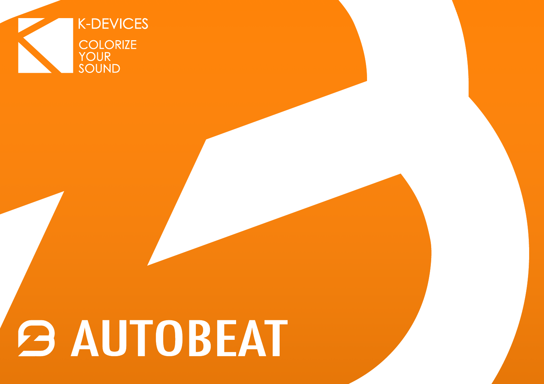

# **B AUTOBEAT**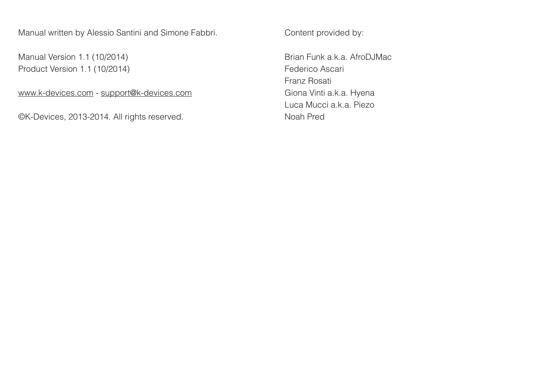Manual written by Alessio Santini and Simone Fabbri.

Manual Version 1.1 (10/2014) Product Version 1.1 (10/2014)

[www.k-devices.com](http://www.k-devices.com) - [support@k-devices.com](mailto:support@k-devices.com)

©K-Devices, 2013-2014. All rights reserved.

Content provided by:

Brian Funk a.k.a. AfroDJMac Federico Ascari Franz Rosati Giona Vinti a.k.a. Hyena Luca Mucci a.k.a. Piezo Noah Pred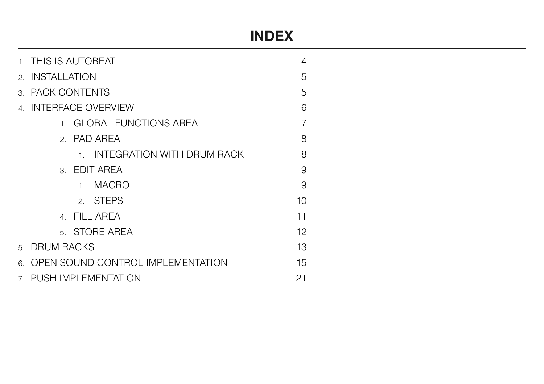# **INDEX**

|   | 1. THIS IS AUTOBEAT                            |                          |    |  |  |  |  |  |
|---|------------------------------------------------|--------------------------|----|--|--|--|--|--|
|   | 2. INSTALLATION                                |                          |    |  |  |  |  |  |
|   | 3. PACK CONTENTS                               |                          |    |  |  |  |  |  |
|   | 4. INTERFACE OVERVIEW                          |                          |    |  |  |  |  |  |
|   |                                                | 1. GLOBAL FUNCTIONS AREA |    |  |  |  |  |  |
|   | 2. PAD AREA                                    |                          | 8  |  |  |  |  |  |
|   | <b>INTEGRATION WITH DRUM RACK</b><br>$1 \quad$ | 8                        |    |  |  |  |  |  |
|   | 3. EDIT AREA                                   | 9                        |    |  |  |  |  |  |
|   | <b>MACRO</b><br>1 <sub>1</sub>                 | 9                        |    |  |  |  |  |  |
|   | 2. STEPS                                       | 10                       |    |  |  |  |  |  |
|   | 4. FILL AREA                                   |                          | 11 |  |  |  |  |  |
|   | 5. STORE AREA                                  |                          | 12 |  |  |  |  |  |
|   | 5. DRUM RACKS                                  |                          |    |  |  |  |  |  |
| 6 | OPEN SOUND CONTROL IMPLEMENTATION<br>15        |                          |    |  |  |  |  |  |
|   | 7. PUSH IMPLEMENTATION<br>21                   |                          |    |  |  |  |  |  |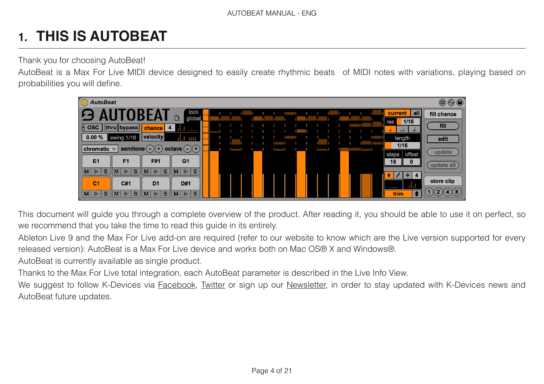# **1. THIS IS AUTOBEAT**

Thank you for choosing AutoBeat!

AutoBeat is a Max For Live MIDI device designed to easily create rhythmic beats of MIDI notes with variations, playing based on probabilities you will define.



This document will guide you through a complete overview of the product. After reading it, you should be able to use it on perfect, so we recommend that you take the time to read this guide in its entirely.

Ableton Live 9 and the Max For Live add-on are required (refer to our website to know which are the Live version supported for every released version): AutoBeat is a Max For Live device and works both on Mac OS® X and Windows®.

AutoBeat is currently available as single product.

Thanks to the Max For Live total integration, each AutoBeat parameter is described in the Live Info View.

We suggest to follow K-Devices via **Facebook**, [Twitter](http://www.twitter.com/kdevices/) or sign up our [Newsletter](http://eepurl.com/dA89L), in order to stay updated with K-Devices news and AutoBeat future updates.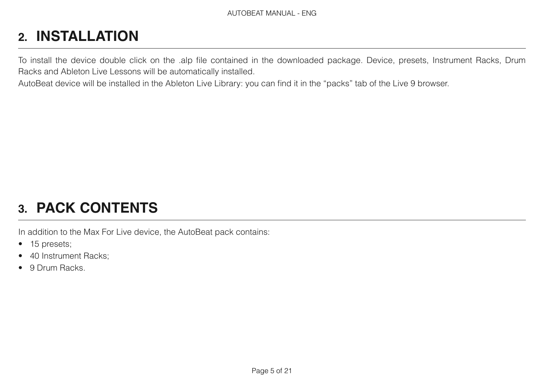# **2. INSTALLATION**

To install the device double click on the .alp file contained in the downloaded package. Device, presets, Instrument Racks, Drum Racks and Ableton Live Lessons will be automatically installed.

AutoBeat device will be installed in the Ableton Live Library: you can find it in the "packs" tab of the Live 9 browser.

# **3. PACK CONTENTS**

In addition to the Max For Live device, the AutoBeat pack contains:

- 15 presets;
- 40 Instrument Racks;
- 9 Drum Racks.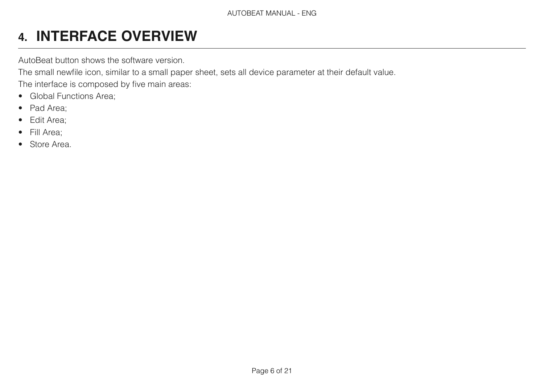# **4. INTERFACE OVERVIEW**

AutoBeat button shows the software version.

The small newfile icon, similar to a small paper sheet, sets all device parameter at their default value.

The interface is composed by five main areas:

- Global Functions Area;
- Pad Area;
- Edit Area;
- Fill Area;
- Store Area.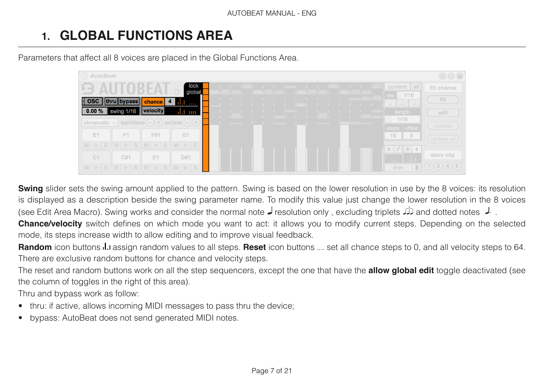# **1. GLOBAL FUNCTIONS AREA**

Parameters that affect all 8 voices are placed in the Global Functions Area.



**Swing** slider sets the swing amount applied to the pattern. Swing is based on the lower resolution in use by the 8 voices: its resolution is displayed as a description beside the swing parameter name. To modify this value just change the lower resolution in the 8 voices . لح and dotted notes لله and dotted notes و resolution only , excluding triplets لح see Edit Area Macro). Swing works and consider the normal note

**Chance/velocity** switch defines on which mode you want to act: it allows you to modify current steps. Depending on the selected mode, its steps increase width to allow editing and to improve visual feedback.

**Random** icon buttons **...** assign random values to all steps. **Reset** icon buttons ... set all chance steps to 0, and all velocity steps to 64. There are exclusive random buttons for chance and velocity steps.

The reset and random buttons work on all the step sequencers, except the one that have the **allow global edit** toggle deactivated (see the column of toggles in the right of this area).

Thru and bypass work as follow:

- thru: if active, allows incoming MIDI messages to pass thru the device;
- bypass: AutoBeat does not send generated MIDI notes.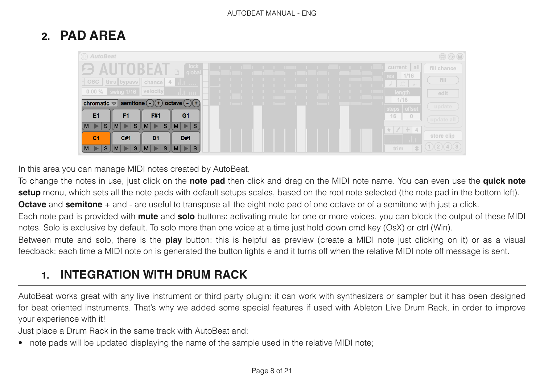## **2. PAD AREA**

| (C) AutoBeat                                                                                                                                                                                                                                                                                                                          | $\textcircled{\tiny{\textcircled{\tiny{+}}}}$                   |
|---------------------------------------------------------------------------------------------------------------------------------------------------------------------------------------------------------------------------------------------------------------------------------------------------------------------------------------|-----------------------------------------------------------------|
| lock<br>current all<br>RFA<br>.<br>.<br>.<br>レー<br>n<br>global                                                                                                                                                                                                                                                                        | fill chance                                                     |
| res<br>OSC   thru   bypass  <br>$ $ chance $ $ 4<br>ا.ار<br>J                                                                                                                                                                                                                                                                         | 1/16<br>fill<br>$\begin{array}{c c c c c c} \hline \end{array}$ |
| swing 1/16 <b>Velocity</b><br>$0.00\%$<br>length<br><u>the contract of the contract of the contract of the contract of the contract of the contract of the contract of the contract of the contract of the contract of the contract of the contract of the contract of the contract </u><br>d.Luur<br>.<br>and the state<br>.<br>1/16 | edit                                                            |
| semitone $(-)(+)$ octave $(-)(+)$<br>$ $ chromatic $\mathbf{r}$<br><b>The Committee of the Committee</b><br><b>The Company</b><br>steps   offset                                                                                                                                                                                      | update                                                          |
| <b>E1</b><br>F <sub>1</sub><br>F#1<br>G <sub>1</sub><br>16                                                                                                                                                                                                                                                                            | $\overline{0}$<br>update all                                    |
| S<br>$M \geqslant S$<br>$\mathbf{s}$<br> M <br><sub>S</sub><br>M<br>$\blacktriangleright$<br>$\star$ $\ell$ + 4                                                                                                                                                                                                                       | store clip                                                      |
| C#1<br>C <sub>1</sub><br>D <sub>1</sub><br>D#1<br>.<br>S<br>S<br>$M \geqslant S$<br>trim<br>S.<br>$\mathbf{r}$<br>$\vert M \vert$                                                                                                                                                                                                     | 0(2)(4)(8)<br>金                                                 |

In this area you can manage MIDI notes created by AutoBeat.

To change the notes in use, just click on the **note pad** then click and drag on the MIDI note name. You can even use the **quick note setup** menu, which sets all the note pads with default setups scales, based on the root note selected (the note pad in the bottom left). **Octave** and **semitone** + and - are useful to transpose all the eight note pad of one octave or of a semitone with just a click.

Each note pad is provided with **mute** and **solo** buttons: activating mute for one or more voices, you can block the output of these MIDI notes. Solo is exclusive by default. To solo more than one voice at a time just hold down cmd key (OsX) or ctrl (Win).

Between mute and solo, there is the **play** button: this is helpful as preview (create a MIDI note just clicking on it) or as a visual feedback: each time a MIDI note on is generated the button lights e and it turns off when the relative MIDI note off message is sent.

#### **1. INTEGRATION WITH DRUM RACK**

AutoBeat works great with any live instrument or third party plugin: it can work with synthesizers or sampler but it has been designed for beat oriented instruments. That's why we added some special features if used with Ableton Live Drum Rack, in order to improve your experience with it!

Just place a Drum Rack in the same track with AutoBeat and:

• note pads will be updated displaying the name of the sample used in the relative MIDI note;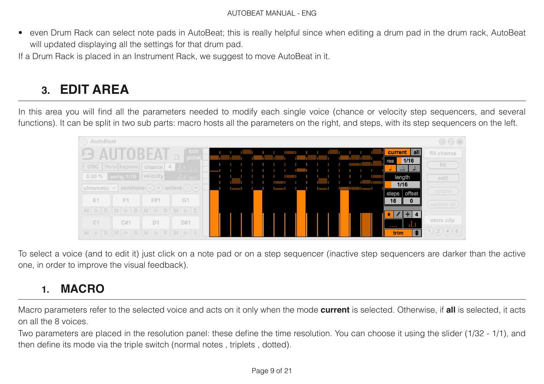• even Drum Rack can select note pads in AutoBeat; this is really helpful since when editing a drum pad in the drum rack, AutoBeat will updated displaying all the settings for that drum pad.

If a Drum Rack is placed in an Instrument Rack, we suggest to move AutoBeat in it.

## **3. EDIT AREA**

In this area you will find all the parameters needed to modify each single voice (chance or velocity step sequencers, and several functions). It can be split in two sub parts: macro hosts all the parameters on the right, and steps, with its step sequencers on the left.



To select a voice (and to edit it) just click on a note pad or on a step sequencer (inactive step sequencers are darker than the active one, in order to improve the visual feedback).

## **1. MACRO**

Macro parameters refer to the selected voice and acts on it only when the mode **current** is selected. Otherwise, if **all** is selected, it acts on all the 8 voices.

Two parameters are placed in the resolution panel: these define the time resolution. You can choose it using the slider (1/32 - 1/1), and then define its mode via the triple switch (normal notes , triplets , dotted).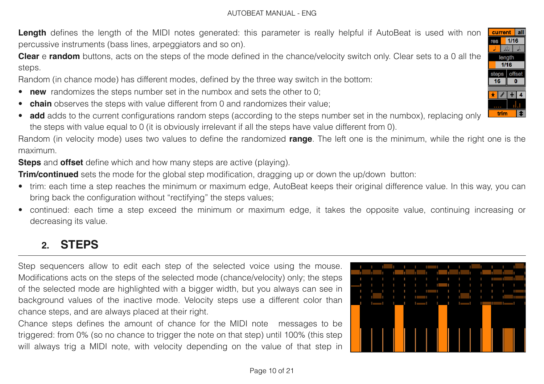Length defines the length of the MIDI notes generated: this parameter is really helpful if AutoBeat is used with non percussive instruments (bass lines, arpeggiators and so on).

**Clear** e **random** buttons, acts on the steps of the mode defined in the chance/velocity switch only. Clear sets to a 0 all the steps.

Random (in chance mode) has different modes, defined by the three way switch in the bottom:

- **new** randomizes the steps number set in the numbox and sets the other to 0;
- **chain** observes the steps with value different from 0 and randomizes their value;
- **add** adds to the current configurations random steps (according to the steps number set in the numbox), replacing only the steps with value equal to 0 (it is obviously irrelevant if all the steps have value different from 0).

Random (in velocity mode) uses two values to define the randomized **range**. The left one is the minimum, while the right one is the maximum.

**Steps** and **offset** define which and how many steps are active (playing).

**Trim/continued** sets the mode for the global step modification, dragging up or down the up/down button:

- trim: each time a step reaches the minimum or maximum edge, AutoBeat keeps their original difference value. In this way, you can bring back the configuration without "rectifying" the steps values;
- continued: each time a step exceed the minimum or maximum edge, it takes the opposite value, continuing increasing or decreasing its value.

## **2. STEPS**

Step sequencers allow to edit each step of the selected voice using the mouse. Modifications acts on the steps of the selected mode (chance/velocity) only; the steps of the selected mode are highlighted with a bigger width, but you always can see in background values of the inactive mode. Velocity steps use a different color than chance steps, and are always placed at their right.

Chance steps defines the amount of chance for the MIDI note messages to be triggered: from 0% (so no chance to trigger the note on that step) until 100% (this step will always trig a MIDI note, with velocity depending on the value of that step in

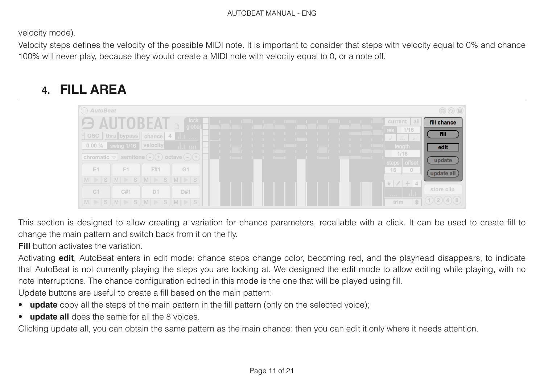velocity mode).

Velocity steps defines the velocity of the possible MIDI note. It is important to consider that steps with velocity equal to 0% and chance 100% will never play, because they would create a MIDI note with velocity equal to 0, or a note off.

## **4. FILL AREA**



This section is designed to allow creating a variation for chance parameters, recallable with a click. It can be used to create fill to change the main pattern and switch back from it on the fly.

**Fill** button activates the variation.

Activating **edit**, AutoBeat enters in edit mode: chance steps change color, becoming red, and the playhead disappears, to indicate that AutoBeat is not currently playing the steps you are looking at. We designed the edit mode to allow editing while playing, with no note interruptions. The chance configuration edited in this mode is the one that will be played using fill.

Update buttons are useful to create a fill based on the main pattern:

- **update** copy all the steps of the main pattern in the fill pattern (only on the selected voice);
- **update all** does the same for all the 8 voices.

Clicking update all, you can obtain the same pattern as the main chance: then you can edit it only where it needs attention.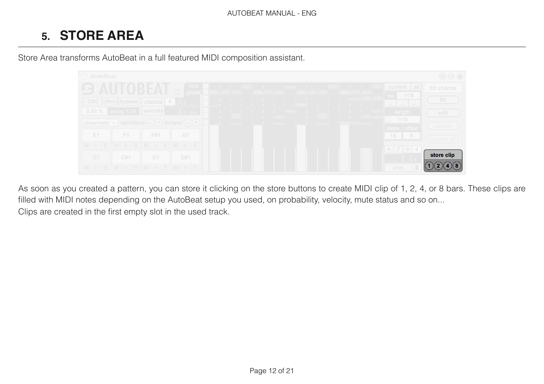## **5. STORE AREA**

Store Area transforms AutoBeat in a full featured MIDI composition assistant.



As soon as you created a pattern, you can store it clicking on the store buttons to create MIDI clip of 1, 2, 4, or 8 bars. These clips are filled with MIDI notes depending on the AutoBeat setup you used, on probability, velocity, mute status and so on... Clips are created in the first empty slot in the used track.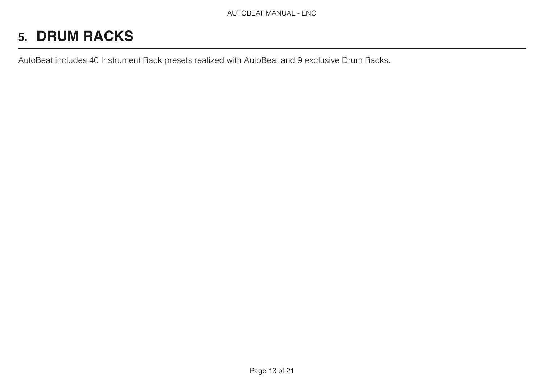# **5. DRUM RACKS**

AutoBeat includes 40 Instrument Rack presets realized with AutoBeat and 9 exclusive Drum Racks.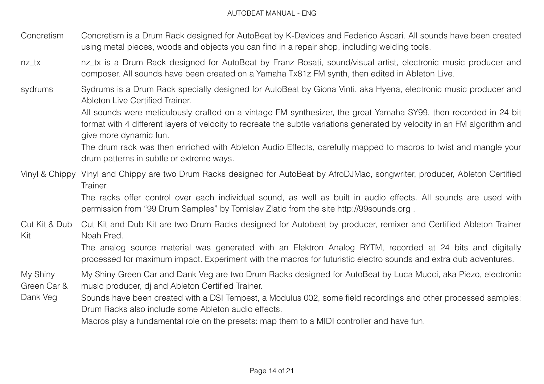- Concretism Concretism is a Drum Rack designed for AutoBeat by K-Devices and Federico Ascari. All sounds have been created using metal pieces, woods and objects you can find in a repair shop, including welding tools.
- nz tx nz tx is a Drum Rack designed for AutoBeat by Franz Rosati, sound/visual artist, electronic music producer and composer. All sounds have been created on a Yamaha Tx81z FM synth, then edited in Ableton Live.
- sydrums Sydrums is a Drum Rack specially designed for AutoBeat by Giona Vinti, aka Hyena, electronic music producer and Ableton Live Certified Trainer.

All sounds were meticulously crafted on a vintage FM synthesizer, the great Yamaha SY99, then recorded in 24 bit format with 4 different layers of velocity to recreate the subtle variations generated by velocity in an FM algorithm and give more dynamic fun.

The drum rack was then enriched with Ableton Audio Effects, carefully mapped to macros to twist and mangle your drum patterns in subtle or extreme ways.

Vinyl & Chippy Vinyl and Chippy are two Drum Racks designed for AutoBeat by AfroDJMac, songwriter, producer, Ableton Certified Trainer.

> The racks offer control over each individual sound, as well as built in audio effects. All sounds are used with permission from "99 Drum Samples" by Tomislav Zlatic from the site http://99sounds.org .

Cut Kit & Dub Kit Cut Kit and Dub Kit are two Drum Racks designed for Autobeat by producer, remixer and Certified Ableton Trainer Noah Pred.

The analog source material was generated with an Elektron Analog RYTM, recorded at 24 bits and digitally processed for maximum impact. Experiment with the macros for futuristic electro sounds and extra dub adventures.

My Shiny Green Car & My Shiny Green Car and Dank Veg are two Drum Racks designed for AutoBeat by Luca Mucci, aka Piezo, electronic music producer, dj and Ableton Certified Trainer.

Dank Veg Sounds have been created with a DSI Tempest, a Modulus 002, some field recordings and other processed samples: Drum Racks also include some Ableton audio effects.

Macros play a fundamental role on the presets: map them to a MIDI controller and have fun.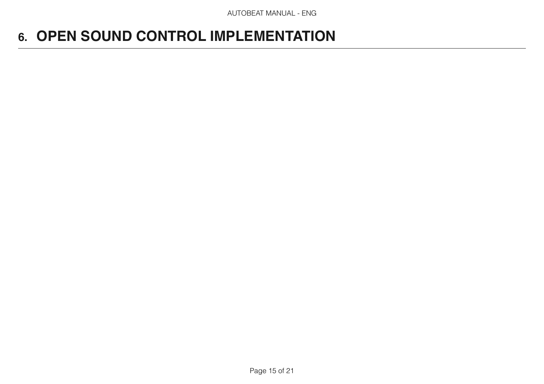# **6. OPEN SOUND CONTROL IMPLEMENTATION**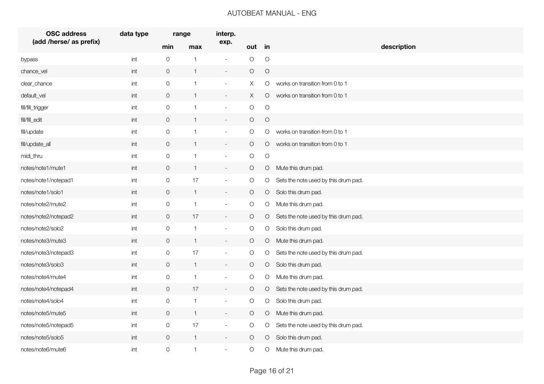| <b>OSC</b> address      | data type      | range          |              | interp.                     |            |            |                                      |  |  |
|-------------------------|----------------|----------------|--------------|-----------------------------|------------|------------|--------------------------------------|--|--|
| (add /herse/ as prefix) |                | min            | max          | exp.                        | out in     |            | description                          |  |  |
| bypass                  | int            | $\mathsf O$    | $\mathbf{1}$ | $\blacksquare$              | $\bigcirc$ | $\bigcirc$ |                                      |  |  |
| chance_vel              | int            | $\mathsf O$    | $\mathbf{1}$ | $\overline{\phantom{a}}$    | $\bigcirc$ | $\bigcirc$ |                                      |  |  |
| clear_chance            | int            | $\mathsf O$    | $\mathbf{1}$ | $\blacksquare$              | X          | O          | works on transition from 0 to 1      |  |  |
| default_vel             | int            | $\overline{O}$ | $\mathbf{1}$ | $\blacksquare$              | X          | $\circ$    | works on transition from 0 to 1      |  |  |
| fill/fill_trigger       | int            | $\overline{O}$ | $\mathbf{1}$ | $\sim$                      | $\bigcirc$ | $\bigcirc$ |                                      |  |  |
| fill/fill_edit          | $\mathsf{int}$ | $\overline{O}$ | $\mathbf{1}$ | $\overline{\phantom{a}}$    | $\circ$    | $\bigcirc$ |                                      |  |  |
| fill/update             | $\mathsf{int}$ | $\mathbf 0$    | $\mathbf{1}$ | $\overline{\phantom{a}}$    | O          | O          | works on transition from 0 to 1      |  |  |
| fill/update_all         | int            | $\overline{O}$ | $\mathbf{1}$ | $\sim$                      | $\bigcirc$ | $\circ$    | works on transition from 0 to 1      |  |  |
| midi_thru               | int            | $\mathsf O$    | $\mathbf{1}$ | $\overline{\phantom{a}}$    | $\bigcirc$ | $\bigcirc$ |                                      |  |  |
| notes/note1/mute1       | int            | $\overline{0}$ | $\mathbf{1}$ | $\blacksquare$              | $\circ$    | $\circ$    | Mute this drum pad.                  |  |  |
| notes/note1/notepad1    | int            | $\mathsf O$    | 17           | $\overline{a}$              | $\bigcirc$ | O          | Sets the note used by this drum pad. |  |  |
| notes/note1/solo1       | int            | $\mathsf O$    | $\mathbf{1}$ | $\overline{\phantom{a}}$    | $\bigcirc$ | $\circ$    | Solo this drum pad.                  |  |  |
| notes/note2/mute2       | $\mathsf{int}$ | $\mathsf O$    | 1            | $\overline{\phantom{a}}$    | $\bigcirc$ | O          | Mute this drum pad.                  |  |  |
| notes/note2/notepad2    | int            | $\overline{O}$ | 17           | $\overline{\phantom{a}}$    | $\bigcirc$ | $\circ$    | Sets the note used by this drum pad. |  |  |
| notes/note2/solo2       | int            | $\mathsf O$    | $\mathbf{1}$ | $\blacksquare$              | $\bigcirc$ | $\bigcirc$ | Solo this drum pad.                  |  |  |
| notes/note3/mute3       | int            | $\mathsf O$    | $\mathbf{1}$ | $\sim$                      | $\bigcirc$ | O          | Mute this drum pad.                  |  |  |
| notes/note3/notepad3    | $\mathsf{int}$ | $\mathbf 0$    | 17           | $\overline{\phantom{a}}$    | $\circ$    | O          | Sets the note used by this drum pad. |  |  |
| notes/note3/solo3       | int            | $\overline{0}$ | $\mathbf{1}$ | $\sim$                      | $\bigcirc$ | $\circ$    | Solo this drum pad.                  |  |  |
| notes/note4/mute4       | int            | $\mathsf O$    | $\mathbf{1}$ | $\overline{\phantom{a}}$    | $\bigcirc$ | $\circ$    | Mute this drum pad.                  |  |  |
| notes/note4/notepad4    | int            | $\overline{0}$ | 17           | $\overline{\phantom{a}}$    | $\circ$    | $\circ$    | Sets the note used by this drum pad. |  |  |
| notes/note4/solo4       | int            | $\mathsf O$    | $\mathbf{1}$ | $\blacksquare$              | $\bigcirc$ | O          | Solo this drum pad.                  |  |  |
| notes/note5/mute5       | int            | $\mathbf 0$    | $\mathbf{1}$ | $\mathcal{L}_{\mathcal{A}}$ | $\bigcirc$ | O          | Mute this drum pad.                  |  |  |
| notes/note5/notepad5    | $\mathsf{int}$ | $\mathbf 0$    | 17           | $\overline{\phantom{a}}$    | $\bigcirc$ | O          | Sets the note used by this drum pad. |  |  |
| notes/note5/solo5       | int            | $\overline{O}$ | $\mathbf{1}$ | $\overline{\phantom{a}}$    | O          | $\circ$    | Solo this drum pad.                  |  |  |
| notes/note6/mute6       | int            | $\mathsf{O}$   | $\mathbf{1}$ | $\sim$                      | $\bigcirc$ | $\circ$    | Mute this drum pad.                  |  |  |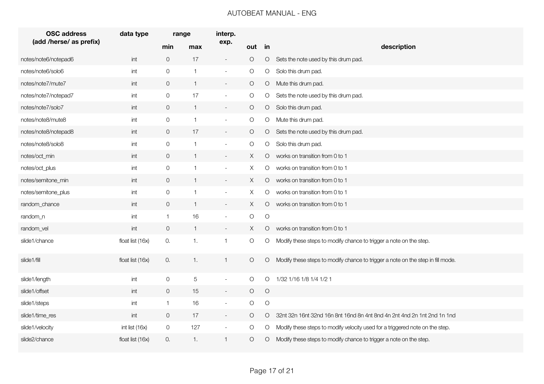| <b>OSC address</b>      | data type        | range          |                | interp.                  |            |            |                                                                                 |
|-------------------------|------------------|----------------|----------------|--------------------------|------------|------------|---------------------------------------------------------------------------------|
| (add /herse/ as prefix) |                  | min            | max            | exp.                     | out in     |            | description                                                                     |
| notes/note6/notepad6    | int              | $\overline{O}$ | 17             | $\overline{\phantom{a}}$ | $\bigcirc$ | $\circ$    | Sets the note used by this drum pad.                                            |
| notes/note6/solo6       | int              | $\mathsf O$    | $\mathbf{1}$   | $\overline{\phantom{a}}$ | $\bigcirc$ | O          | Solo this drum pad.                                                             |
| notes/note7/mute7       | int              | $\mathsf O$    | $\mathbf{1}$   | $\overline{\phantom{a}}$ | $\bigcirc$ | $\circ$    | Mute this drum pad.                                                             |
| notes/note7/notepad7    | int              | $\mathsf O$    | 17             | $\overline{\phantom{a}}$ | $\bigcirc$ | O          | Sets the note used by this drum pad.                                            |
| notes/note7/solo7       | int              | $\overline{0}$ | $\mathbf{1}$   | $\sim$                   | O          | $\circ$    | Solo this drum pad.                                                             |
| notes/note8/mute8       | int              | $\mathsf O$    | $\mathbf{1}$   | $\sim$                   | $\bigcirc$ | O          | Mute this drum pad.                                                             |
| notes/note8/notepad8    | int              | $\overline{O}$ | 17             | $\overline{\phantom{a}}$ | $\circ$    | $\circ$    | Sets the note used by this drum pad.                                            |
| notes/note8/solo8       | int              | $\mathsf O$    | $\mathbf{1}$   | $\overline{\phantom{a}}$ | $\bigcirc$ | O          | Solo this drum pad.                                                             |
| notes/oct_min           | int              | $\overline{O}$ | $\mathbf{1}$   | $\blacksquare$           | X          | $\circ$    | works on transition from 0 to 1                                                 |
| notes/oct_plus          | int              | $\mathsf O$    | $\mathbf{1}$   | $\overline{\phantom{a}}$ | X          | $\circ$    | works on transition from 0 to 1                                                 |
| notes/semitone_min      | int              | $\overline{O}$ | $\mathbf{1}$   | $\sim$                   | X          | $\circ$    | works on transition from 0 to 1                                                 |
| notes/semitone_plus     | int              | $\mathsf O$    | $\mathbf{1}$   | $\overline{\phantom{a}}$ | X          | $\circ$    | works on transition from 0 to 1                                                 |
| random_chance           | int              | $\overline{O}$ | $\mathbf{1}$   | $\overline{\phantom{a}}$ | X          | $\circ$    | works on transition from 0 to 1                                                 |
| random_n                | int              | $\overline{1}$ | 16             | $\overline{\phantom{a}}$ | $\bigcirc$ | $\bigcirc$ |                                                                                 |
| random_vel              | int              | $\overline{O}$ | $\mathbf{1}$   | $\blacksquare$           | Χ          | $\circ$    | works on transition from 0 to 1                                                 |
| slide1/chance           | float list (16x) | 0.             | $\mathbf{1}$ . | $\mathbf{1}$             | O          | O          | Modify these steps to modify chance to trigger a note on the step.              |
| slide1/fill             | float list (16x) | 0.             | $\mathbf{1}$ . | $\mathbf{1}$             | O          | $\circ$    | Modify these steps to modify chance to trigger a note on the step in fill mode. |
| slide1/length           | $\mathsf{int}$   | $\mathsf O$    | $\mathbf 5$    | $\overline{\phantom{a}}$ | $\bigcirc$ | O          | 1/32 1/16 1/8 1/4 1/2 1                                                         |
| slide1/offset           | int              | $\mathbf 0$    | 15             | $\blacksquare$           | $\bigcirc$ | $\bigcirc$ |                                                                                 |
| slide1/steps            | int              | $\overline{1}$ | 16             | $\overline{\phantom{a}}$ | $\bigcirc$ | $\bigcirc$ |                                                                                 |
| slide1/time_res         | int              | $\overline{0}$ | 17             | $\overline{\phantom{a}}$ | $\circ$    | $\circ$    | 32nt 32n 16nt 32nd 16n 8nt 16nd 8n 4nt 8nd 4n 2nt 4nd 2n 1nt 2nd 1n 1nd         |
| slide1/velocity         | int list (16x)   | $\overline{O}$ | 127            | $\overline{\phantom{a}}$ | $\bigcirc$ | O          | Modify these steps to modify velocity used for a triggered note on the step.    |
| slide2/chance           | float list (16x) | 0.             | 1.             | $\mathbf{1}$             | $\circ$    | O          | Modify these steps to modify chance to trigger a note on the step.              |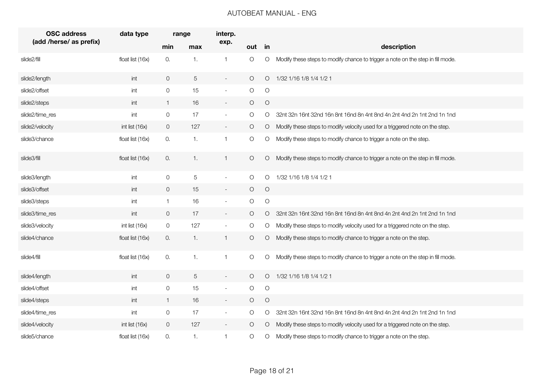| <b>OSC</b> address      | data type        | range          |                | interp.                     |            |            |                                                                                 |  |  |
|-------------------------|------------------|----------------|----------------|-----------------------------|------------|------------|---------------------------------------------------------------------------------|--|--|
| (add /herse/ as prefix) |                  | min            | max            | exp.                        | out in     |            | description                                                                     |  |  |
| slide2/fill             | float list (16x) | 0.             | 1.             | $\mathbf{1}$                | $\bigcirc$ | O          | Modify these steps to modify chance to trigger a note on the step in fill mode. |  |  |
| slide2/length           | int              | $\overline{O}$ | 5              | $\overline{\phantom{a}}$    | $\circ$    | $\circ$    | 1/32 1/16 1/8 1/4 1/2 1                                                         |  |  |
| slide2/offset           | int              | $\mathsf{O}$   | 15             | $\blacksquare$              | $\bigcirc$ | $\bigcirc$ |                                                                                 |  |  |
| slide2/steps            | int              | $\overline{1}$ | 16             | $\overline{\phantom{a}}$    | $\circ$    | $\bigcirc$ |                                                                                 |  |  |
| slide2/time_res         | $\mathsf{int}$   | $\mathsf{O}$   | 17             | $\mathbb{Z}^+$              | $\bigcirc$ | O          | 32nt 32n 16nt 32nd 16n 8nt 16nd 8n 4nt 8nd 4n 2nt 4nd 2n 1nt 2nd 1n 1nd         |  |  |
| slide2/velocity         | int list (16x)   | $\overline{0}$ | 127            | $\overline{\phantom{a}}$    | O          | $\circ$    | Modify these steps to modify velocity used for a triggered note on the step.    |  |  |
| slide3/chance           | float list (16x) | 0.             | 1.             | $\mathbf{1}$                | $\bigcirc$ | $\bigcirc$ | Modify these steps to modify chance to trigger a note on the step.              |  |  |
| slide3/fill             | float list (16x) | 0.             | $\mathbf{1}$ . | $\mathbf{1}$                | O          | O          | Modify these steps to modify chance to trigger a note on the step in fill mode. |  |  |
| slide3/length           | $\mathsf{int}$   | $\mathsf{O}$   | $\mathbf 5$    | $\mathcal{L}_{\mathcal{A}}$ | $\bigcirc$ | $\circ$    | 1/32 1/16 1/8 1/4 1/2 1                                                         |  |  |
| slide3/offset           | int              | $\overline{O}$ | 15             | $\sim$                      | $\bigcirc$ | $\bigcirc$ |                                                                                 |  |  |
| slide3/steps            | int              | $\mathbf{1}$   | 16             | $\overline{\phantom{a}}$    | $\bigcirc$ | $\bigcirc$ |                                                                                 |  |  |
| slide3/time_res         | int              | $\overline{0}$ | 17             | $\sim$                      | $\bigcirc$ | $\circ$    | 32nt 32n 16nt 32nd 16n 8nt 16nd 8n 4nt 8nd 4n 2nt 4nd 2n 1nt 2nd 1n 1nd         |  |  |
| slide3/velocity         | int list (16x)   | $\mathsf O$    | 127            | $\overline{\phantom{a}}$    | $\bigcirc$ | O          | Modify these steps to modify velocity used for a triggered note on the step.    |  |  |
| slide4/chance           | float list (16x) | 0.             | $\mathbf{1}$ . | $\mathbf{1}$                | $\bigcirc$ | $\bigcirc$ | Modify these steps to modify chance to trigger a note on the step.              |  |  |
| slide4/fill             | float list (16x) | 0.             | $\mathbf{1}$ . | $\mathbf{1}$                | $\circ$    | O          | Modify these steps to modify chance to trigger a note on the step in fill mode. |  |  |
| slide4/length           | int              | $\overline{O}$ | 5              | $\overline{\phantom{a}}$    | $\bigcirc$ | $\circ$    | 1/32 1/16 1/8 1/4 1/2 1                                                         |  |  |
| slide4/offset           | int              | $\mathsf O$    | 15             | $\overline{\phantom{a}}$    | $\bigcirc$ | $\circ$    |                                                                                 |  |  |
| slide4/steps            | int              | $\mathbf{1}$   | 16             | $\sim$                      | $\bigcirc$ | $\bigcirc$ |                                                                                 |  |  |
| slide4/time_res         | int              | $\mathsf O$    | 17             | $\overline{\phantom{a}}$    | O          | O          | 32nt 32n 16nt 32nd 16n 8nt 16nd 8n 4nt 8nd 4n 2nt 4nd 2n 1nt 2nd 1n 1nd         |  |  |
| slide4/velocity         | int list (16x)   | $\overline{O}$ | 127            | $\overline{\phantom{a}}$    | $\bigcirc$ | $\circ$    | Modify these steps to modify velocity used for a triggered note on the step.    |  |  |
| slide5/chance           | float list (16x) | 0.             | 1.             | $\mathbf{1}$                | O          | O          | Modify these steps to modify chance to trigger a note on the step.              |  |  |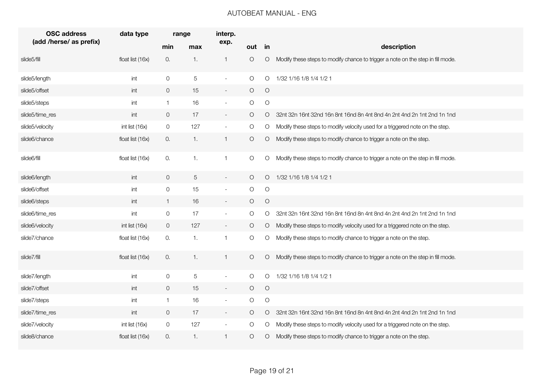| <b>OSC address</b>      | data type        | range               |                  | interp.                  |            |            |                                                                                 |
|-------------------------|------------------|---------------------|------------------|--------------------------|------------|------------|---------------------------------------------------------------------------------|
| (add /herse/ as prefix) |                  | min                 | max              | exp.                     | out in     |            | description                                                                     |
| slide5/fill             | float list (16x) | 0.                  | $\left(1\right)$ | $\overline{1}$           | $\bigcirc$ | $\bigcirc$ | Modify these steps to modify chance to trigger a note on the step in fill mode. |
| slide5/length           | int              | $\mathsf O$         | $\,$ 5 $\,$      | $\overline{\phantom{a}}$ | $\bigcirc$ | $\circ$    | 1/32 1/16 1/8 1/4 1/2 1                                                         |
| slide5/offset           | int              | $\overline{0}$      | 15               | $\sim$                   | $\bigcirc$ | $\bigcirc$ |                                                                                 |
| slide5/steps            | int              | $\mathbf{1}$        | 16               | $\overline{\phantom{a}}$ | $\bigcirc$ | $\bigcirc$ |                                                                                 |
| slide5/time_res         | int              | $\overline{0}$      | 17               | $\blacksquare$           | O          | $\circ$    | 32nt 32n 16nt 32nd 16n 8nt 16nd 8n 4nt 8nd 4n 2nt 4nd 2n 1nt 2nd 1n 1nd         |
| slide5/velocity         | int list (16x)   | $\mathsf{O}\xspace$ | 127              | $\overline{\phantom{a}}$ | $\bigcirc$ | $\bigcirc$ | Modify these steps to modify velocity used for a triggered note on the step.    |
| slide6/chance           | float list (16x) | 0.                  | $\mathbf{1}$ .   | $\mathbf{1}$             | $\bigcirc$ | $\bigcirc$ | Modify these steps to modify chance to trigger a note on the step.              |
| slide6/fill             | float list (16x) | 0.                  | $\mathbf{1}$ .   | $\mathbf{1}$             | $\bigcirc$ | $\bigcirc$ | Modify these steps to modify chance to trigger a note on the step in fill mode. |
| slide6/length           | int              | $\mathsf{O}\xspace$ | $\,$ 5 $\,$      | $\overline{\phantom{a}}$ | $\circ$    | $\circ$    | 1/32 1/16 1/8 1/4 1/2 1                                                         |
| slide6/offset           | int              | $\mathsf{O}$        | 15               | $\sim$                   | $\bigcirc$ | $\bigcirc$ |                                                                                 |
| slide6/steps            | int              | $\mathbf{1}$        | 16               | $\overline{\phantom{a}}$ | $\bigcirc$ | $\bigcirc$ |                                                                                 |
| slide6/time_res         | int              | $\mathsf O$         | 17               | $\overline{\phantom{a}}$ | O          | $\circ$    | 32nt 32n 16nt 32nd 16n 8nt 16nd 8n 4nt 8nd 4n 2nt 4nd 2n 1nt 2nd 1n 1nd         |
| slide6/velocity         | int list $(16x)$ | $\overline{0}$      | 127              | $\sim$                   | $\bigcirc$ | $\circ$    | Modify these steps to modify velocity used for a triggered note on the step.    |
| slide7/chance           | float list (16x) | 0.                  | $\mathbf{1}$ .   | $\mathbf{1}$             | $\bigcirc$ | $\bigcirc$ | Modify these steps to modify chance to trigger a note on the step.              |
| slide7/fill             | float list (16x) | 0.                  | $\mathbf{1}$ .   | $\mathbf{1}$             | O          | $\circ$    | Modify these steps to modify chance to trigger a note on the step in fill mode. |
| slide7/length           | int              | $\mathbf 0$         | $\mathbf 5$      | $\overline{\phantom{a}}$ | $\bigcirc$ | $\circ$    | 1/32 1/16 1/8 1/4 1/2 1                                                         |
| slide7/offset           | int              | $\overline{0}$      | 15               | $\overline{\phantom{a}}$ | $\bigcirc$ | $\bigcirc$ |                                                                                 |
| slide7/steps            | int              | $\vert$ 1           | 16               | $\sim$                   | $\bigcirc$ | $\bigcirc$ |                                                                                 |
| slide7/time_res         | int              | $\overline{0}$      | 17               | $\sim$                   | O          | $\circ$    | 32nt 32n 16nt 32nd 16n 8nt 16nd 8n 4nt 8nd 4n 2nt 4nd 2n 1nt 2nd 1n 1nd         |
| slide7/velocity         | int list (16x)   | $\overline{O}$      | 127              | $\overline{\phantom{a}}$ | O          | $\circ$    | Modify these steps to modify velocity used for a triggered note on the step.    |
| slide8/chance           | float list (16x) | 0.                  | $\overline{1}$ . | $\mathbf{1}$             | $\bigcirc$ | $\circ$    | Modify these steps to modify chance to trigger a note on the step.              |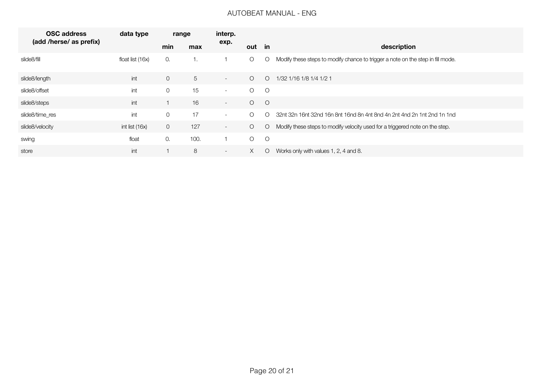| <b>OSC address</b>      | data type          | range          |      | interp. |          |            |                                                                                 |  |  |
|-------------------------|--------------------|----------------|------|---------|----------|------------|---------------------------------------------------------------------------------|--|--|
| (add /herse/ as prefix) |                    | min            | max  | exp.    | out in   |            | description                                                                     |  |  |
| slide8/fill             | float list $(16x)$ | 0.             | 1.   |         | $\circ$  | $\circ$    | Modify these steps to modify chance to trigger a note on the step in fill mode. |  |  |
| slide8/length           | int                | $\mathbf 0$    | 5    | $\sim$  | $\circ$  | $\circ$    | 1/32 1/16 1/8 1/4 1/2 1                                                         |  |  |
| slide8/offset           | int                | 0              | 15   | $\sim$  | $\circ$  | $\circ$    |                                                                                 |  |  |
| slide8/steps            | int                |                | 16   | $\sim$  | $\circ$  | $\circ$    |                                                                                 |  |  |
| slide8/time_res         | int                | $\overline{O}$ | 17   | $\sim$  | $\circ$  | $\bigcirc$ | 32nt 32n 16nt 32nd 16n 8nt 16nd 8n 4nt 8nd 4n 2nt 4nd 2n 1nt 2nd 1n 1nd         |  |  |
| slide8/velocity         | int list (16x)     | 0              | 127  | $\sim$  | $\circ$  | $\circ$    | Modify these steps to modify velocity used for a triggered note on the step.    |  |  |
| swing                   | float              | 0.             | 100. |         | $\circ$  | $\circ$    |                                                                                 |  |  |
| store                   | int                |                | 8    | $\sim$  | $\times$ | $\circ$    | Works only with values 1, 2, 4 and 8.                                           |  |  |